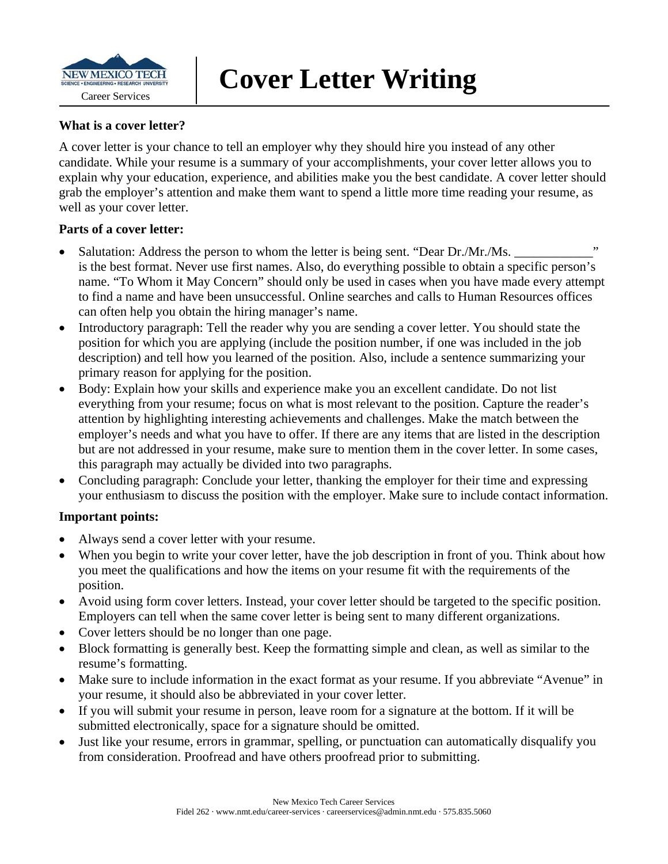

#### **What is a cover letter?**

A cover letter is your chance to tell an employer why they should hire you instead of any other candidate. While your resume is a summary of your accomplishments, your cover letter allows you to explain why your education, experience, and abilities make you the best candidate. A cover letter should grab the employer's attention and make them want to spend a little more time reading your resume, as well as your cover letter.

#### **Parts of a cover letter:**

- Salutation: Address the person to whom the letter is being sent. "Dear Dr./Mr./Ms. is the best format. Never use first names. Also, do everything possible to obtain a specific person's name. "To Whom it May Concern" should only be used in cases when you have made every attempt to find a name and have been unsuccessful. Online searches and calls to Human Resources offices can often help you obtain the hiring manager's name.
- Introductory paragraph: Tell the reader why you are sending a cover letter. You should state the position for which you are applying (include the position number, if one was included in the job description) and tell how you learned of the position. Also, include a sentence summarizing your primary reason for applying for the position.
- Body: Explain how your skills and experience make you an excellent candidate. Do not list everything from your resume; focus on what is most relevant to the position. Capture the reader's attention by highlighting interesting achievements and challenges. Make the match between the employer's needs and what you have to offer. If there are any items that are listed in the description but are not addressed in your resume, make sure to mention them in the cover letter. In some cases, this paragraph may actually be divided into two paragraphs.
- Concluding paragraph: Conclude your letter, thanking the employer for their time and expressing your enthusiasm to discuss the position with the employer. Make sure to include contact information.

### **Important points:**

- Always send a cover letter with your resume.
- When you begin to write your cover letter, have the job description in front of you. Think about how you meet the qualifications and how the items on your resume fit with the requirements of the position.
- Avoid using form cover letters. Instead, your cover letter should be targeted to the specific position. Employers can tell when the same cover letter is being sent to many different organizations.
- Cover letters should be no longer than one page.
- Block formatting is generally best. Keep the formatting simple and clean, as well as similar to the resume's formatting.
- Make sure to include information in the exact format as your resume. If you abbreviate "Avenue" in your resume, it should also be abbreviated in your cover letter.
- If you will submit your resume in person, leave room for a signature at the bottom. If it will be submitted electronically, space for a signature should be omitted.
- Just like your resume, errors in grammar, spelling, or punctuation can automatically disqualify you from consideration. Proofread and have others proofread prior to submitting.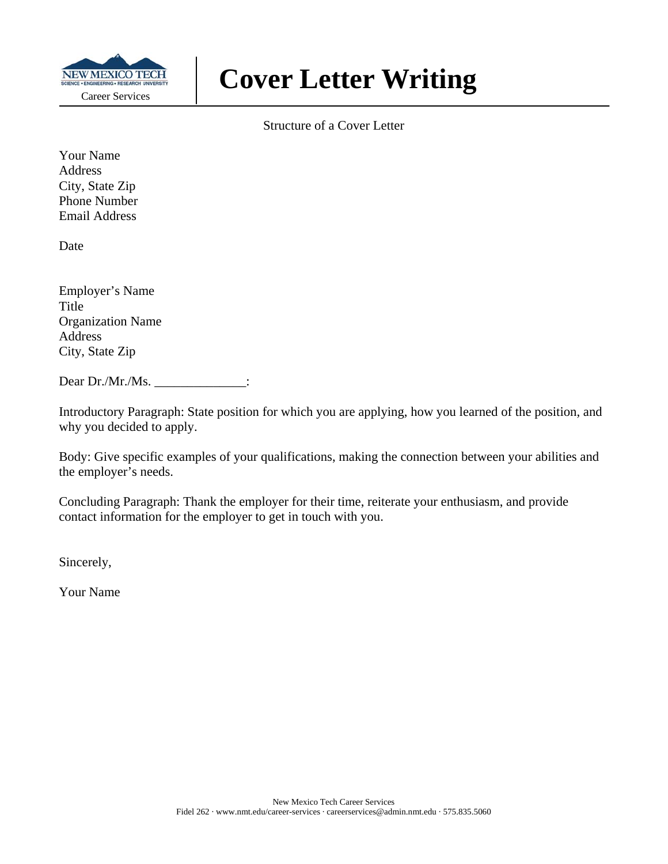

Structure of a Cover Letter

Your Name **Address** City, State Zip Phone Number Email Address

Date

Employer's Name Title Organization Name Address City, State Zip

Dear Dr./Mr./Ms. \_\_\_\_\_\_\_\_\_\_\_\_\_\_:

Introductory Paragraph: State position for which you are applying, how you learned of the position, and why you decided to apply.

Body: Give specific examples of your qualifications, making the connection between your abilities and the employer's needs.

Concluding Paragraph: Thank the employer for their time, reiterate your enthusiasm, and provide contact information for the employer to get in touch with you.

Sincerely,

Your Name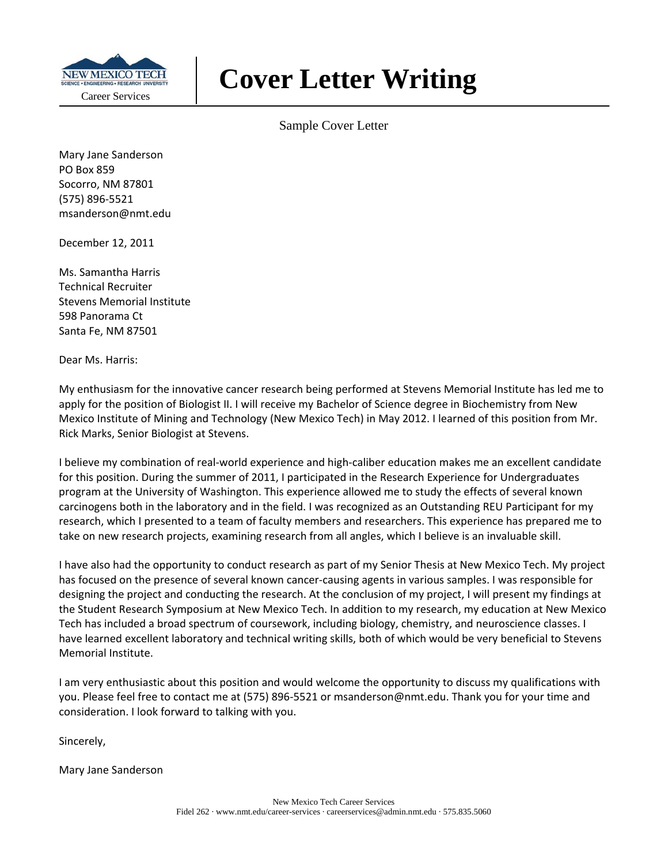

Sample Cover Letter

Mary Jane Sanderson PO Box 859 Socorro, NM 87801 (575) 896‐5521 msanderson@nmt.edu

December 12, 2011

Ms. Samantha Harris Technical Recruiter Stevens Memorial Institute 598 Panorama Ct Santa Fe, NM 87501

Dear Ms. Harris:

My enthusiasm for the innovative cancer research being performed at Stevens Memorial Institute has led me to apply for the position of Biologist II. I will receive my Bachelor of Science degree in Biochemistry from New Mexico Institute of Mining and Technology (New Mexico Tech) in May 2012. I learned of this position from Mr. Rick Marks, Senior Biologist at Stevens.

I believe my combination of real‐world experience and high‐caliber education makes me an excellent candidate for this position. During the summer of 2011, I participated in the Research Experience for Undergraduates program at the University of Washington. This experience allowed me to study the effects of several known carcinogens both in the laboratory and in the field. I was recognized as an Outstanding REU Participant for my research, which I presented to a team of faculty members and researchers. This experience has prepared me to take on new research projects, examining research from all angles, which I believe is an invaluable skill.

I have also had the opportunity to conduct research as part of my Senior Thesis at New Mexico Tech. My project has focused on the presence of several known cancer-causing agents in various samples. I was responsible for designing the project and conducting the research. At the conclusion of my project, I will present my findings at the Student Research Symposium at New Mexico Tech. In addition to my research, my education at New Mexico Tech has included a broad spectrum of coursework, including biology, chemistry, and neuroscience classes. I have learned excellent laboratory and technical writing skills, both of which would be very beneficial to Stevens Memorial Institute.

I am very enthusiastic about this position and would welcome the opportunity to discuss my qualifications with you. Please feel free to contact me at (575) 896‐5521 or msanderson@nmt.edu. Thank you for your time and consideration. I look forward to talking with you.

Sincerely,

Mary Jane Sanderson